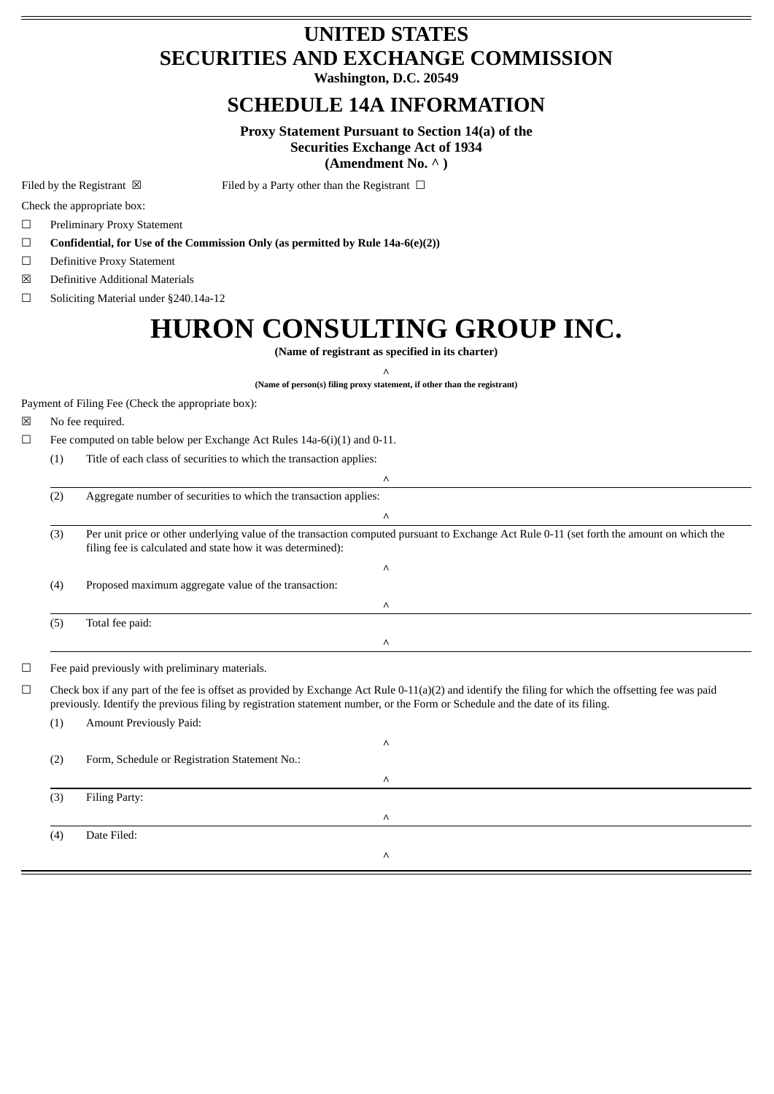# **UNITED STATES SECURITIES AND EXCHANGE COMMISSION**

**Washington, D.C. 20549**

## **SCHEDULE 14A INFORMATION**

**Proxy Statement Pursuant to Section 14(a) of the Securities Exchange Act of 1934**

**(Amendment No. ^ )**

Filed by the Registrant  $\boxtimes$  Filed by a Party other than the Registrant  $\Box$ 

Check the appropriate box:

☐ Preliminary Proxy Statement

☐ **Confidential, for Use of the Commission Only (as permitted by Rule 14a-6(e)(2))**

☐ Definitive Proxy Statement

☒ Definitive Additional Materials

☐ Soliciting Material under §240.14a-12

# **HURON CONSULTING GROUP INC.**

**(Name of registrant as specified in its charter)**

 $\wedge$ **(Name of person(s) filing proxy statement, if other than the registrant)**

Payment of Filing Fee (Check the appropriate box):

- ☒ No fee required.
- $\Box$  Fee computed on table below per Exchange Act Rules 14a-6(i)(1) and 0-11.
	- (1) Title of each class of securities to which the transaction applies:

| (2) | Aggregate number of securities to which the transaction applies:                                                                                                                                         |  |  |
|-----|----------------------------------------------------------------------------------------------------------------------------------------------------------------------------------------------------------|--|--|
|     | Λ                                                                                                                                                                                                        |  |  |
| (3) | Per unit price or other underlying value of the transaction computed pursuant to Exchange Act Rule 0-11 (set forth the amount on which the<br>filing fee is calculated and state how it was determined): |  |  |
|     | Λ                                                                                                                                                                                                        |  |  |
| (4) | Proposed maximum aggregate value of the transaction:                                                                                                                                                     |  |  |
|     | Λ                                                                                                                                                                                                        |  |  |
| (5) | Total fee paid:                                                                                                                                                                                          |  |  |
|     | Λ                                                                                                                                                                                                        |  |  |

☐ Fee paid previously with preliminary materials.

 $\Box$  Check box if any part of the fee is offset as provided by Exchange Act Rule 0-11(a)(2) and identify the filing for which the offsetting fee was paid previously. Identify the previous filing by registration statement number, or the Form or Schedule and the date of its filing.

(1) Amount Previously Paid:

 $\equiv$ 

| (2) | Form, Schedule or Registration Statement No.: | Λ        |  |
|-----|-----------------------------------------------|----------|--|
|     |                                               | Λ        |  |
| (3) | Filing Party:                                 |          |  |
|     |                                               | $\wedge$ |  |
| (4) | Date Filed:                                   |          |  |
|     |                                               | $\wedge$ |  |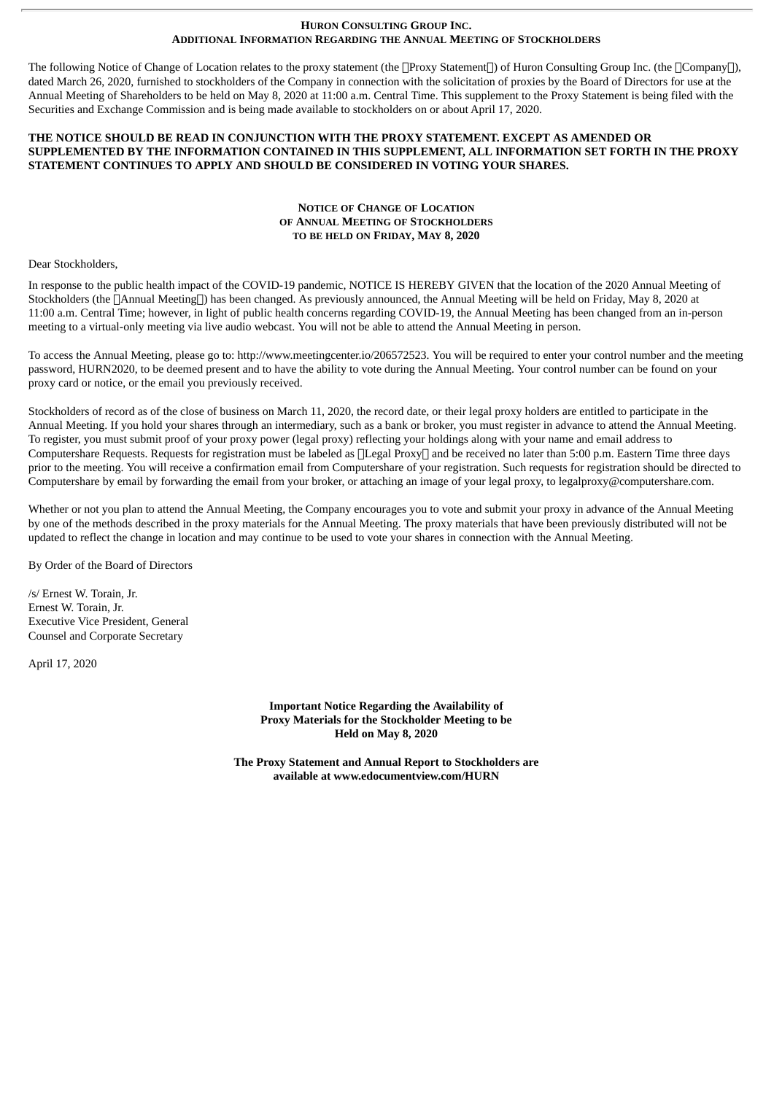#### **HURON CONSULTING GROUP INC. ADDITIONAL INFORMATION REGARDING THE ANNUAL MEETING OF STOCKHOLDERS**

The following Notice of Change of Location relates to the proxy statement (the  $\Box$ Proxy Statement $\Box$ ) of Huron Consulting Group Inc. (the  $\Box$ Company $\Box$ ), dated March 26, 2020, furnished to stockholders of the Company in connection with the solicitation of proxies by the Board of Directors for use at the Annual Meeting of Shareholders to be held on May 8, 2020 at 11:00 a.m. Central Time. This supplement to the Proxy Statement is being filed with the Securities and Exchange Commission and is being made available to stockholders on or about April 17, 2020.

### **THE NOTICE SHOULD BE READ IN CONJUNCTION WITH THE PROXY STATEMENT. EXCEPT AS AMENDED OR SUPPLEMENTED BY THE INFORMATION CONTAINED IN THIS SUPPLEMENT, ALL INFORMATION SET FORTH IN THE PROXY STATEMENT CONTINUES TO APPLY AND SHOULD BE CONSIDERED IN VOTING YOUR SHARES.**

### **NOTICE OF CHANGE OF LOCATION OF ANNUAL MEETING OF STOCKHOLDERS TO BE HELD ON FRIDAY, MAY 8, 2020**

#### Dear Stockholders,

In response to the public health impact of the COVID-19 pandemic, NOTICE IS HEREBY GIVEN that the location of the 2020 Annual Meeting of Stockholders (the  $\Box$ Annual Meeting $\Box$ ) has been changed. As previously announced, the Annual Meeting will be held on Friday, May 8, 2020 at 11:00 a.m. Central Time; however, in light of public health concerns regarding COVID-19, the Annual Meeting has been changed from an in-person meeting to a virtual-only meeting via live audio webcast. You will not be able to attend the Annual Meeting in person.

To access the Annual Meeting, please go to: http://www.meetingcenter.io/206572523. You will be required to enter your control number and the meeting password, HURN2020, to be deemed present and to have the ability to vote during the Annual Meeting. Your control number can be found on your proxy card or notice, or the email you previously received.

Stockholders of record as of the close of business on March 11, 2020, the record date, or their legal proxy holders are entitled to participate in the Annual Meeting. If you hold your shares through an intermediary, such as a bank or broker, you must register in advance to attend the Annual Meeting. To register, you must submit proof of your proxy power (legal proxy) reflecting your holdings along with your name and email address to Computershare Requests. Requests for registration must be labeled as  $\Box$ Legal Proxy $\Box$  and be received no later than 5:00 p.m. Eastern Time three days prior to the meeting. You will receive a confirmation email from Computershare of your registration. Such requests for registration should be directed to Computershare by email by forwarding the email from your broker, or attaching an image of your legal proxy, to legalproxy@computershare.com.

Whether or not you plan to attend the Annual Meeting, the Company encourages you to vote and submit your proxy in advance of the Annual Meeting by one of the methods described in the proxy materials for the Annual Meeting. The proxy materials that have been previously distributed will not be updated to reflect the change in location and may continue to be used to vote your shares in connection with the Annual Meeting.

By Order of the Board of Directors

/s/ Ernest W. Torain, Jr. Ernest W. Torain, Jr. Executive Vice President, General Counsel and Corporate Secretary

April 17, 2020

**Important Notice Regarding the Availability of Proxy Materials for the Stockholder Meeting to be Held on May 8, 2020**

**The Proxy Statement and Annual Report to Stockholders are available at www.edocumentview.com/HURN**